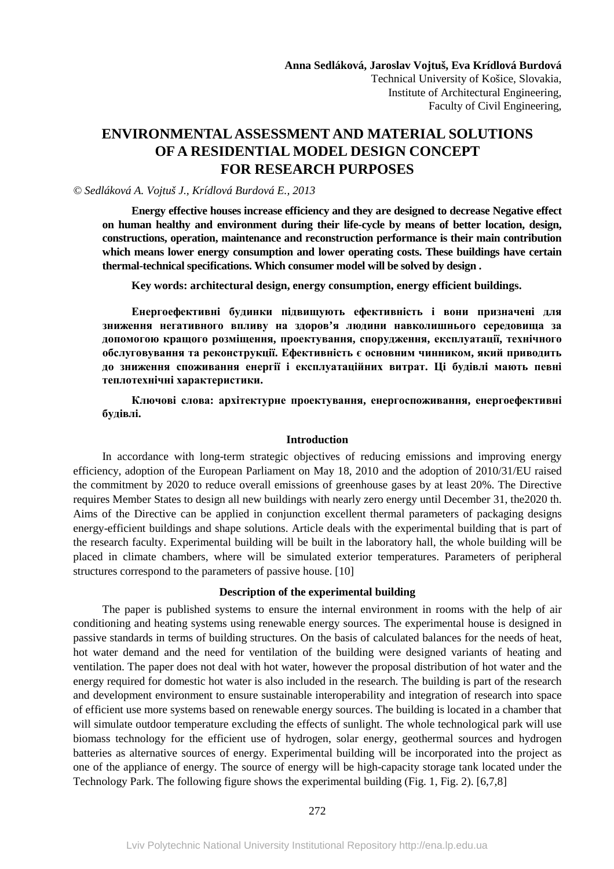Technical University of Košice, Slovakia, Institute of Architectural Engineering, Faculty of Civil Engineering,

# **ENVIRONMENTAL ASSESSMENT AND MATERIAL SOLUTIONS OF A RESIDENTIAL MODEL DESIGN CONCEPT FOR RESEARCH PURPOSES**

# *© Sedláková A. Vojtuš J., Krídlová Burdová E., 2013*

**Energy effective houses increase efficiency and they are designed to decrease Negative effect on human healthy and environment during their life-cycle by means of better location, design, constructions, operation, maintenance and reconstruction performance is their main contribution which means lower energy consumption and lower operating costs. These buildings have certain thermal-technical specifications. Which consumer model will be solved by design .** 

**Key words: architectural design, energy consumption, energy efficient buildings.** 

**Енергоефективні будинки підвищують ефективність і вони призначені для зниження негативного впливу на здоров'я людини навколишнього середовища за допомогою кращого розміщення, проектування, спорудження, експлуатації, технічного обслуговування та реконструкції. Ефективність є основним чинником, який приводить до зниження споживання енергії і експлуатаційних витрат. Ці будівлі мають певні теплотехнічні характеристики.** 

**Ключові слова: архітектурне проектування, енергоспоживання, енергоефективні будівлі.** 

# **Introduction**

In accordance with long-term strategic objectives of reducing emissions and improving energy efficiency, adoption of the European Parliament on May 18, 2010 and the adoption of 2010/31/EU raised the commitment by 2020 to reduce overall emissions of greenhouse gases by at least 20%. The Directive requires Member States to design all new buildings with nearly zero energy until December 31, the2020 th. Aims of the Directive can be applied in conjunction excellent thermal parameters of packaging designs energy-efficient buildings and shape solutions. Article deals with the experimental building that is part of the research faculty. Experimental building will be built in the laboratory hall, the whole building will be placed in climate chambers, where will be simulated exterior temperatures. Parameters of peripheral structures correspond to the parameters of passive house. [10]

# **Description of the experimental building**

The paper is published systems to ensure the internal environment in rooms with the help of air conditioning and heating systems using renewable energy sources. The experimental house is designed in passive standards in terms of building structures. On the basis of calculated balances for the needs of heat, hot water demand and the need for ventilation of the building were designed variants of heating and ventilation. The paper does not deal with hot water, however the proposal distribution of hot water and the energy required for domestic hot water is also included in the research. The building is part of the research and development environment to ensure sustainable interoperability and integration of research into space of efficient use more systems based on renewable energy sources. The building is located in a chamber that will simulate outdoor temperature excluding the effects of sunlight. The whole technological park will use biomass technology for the efficient use of hydrogen, solar energy, geothermal sources and hydrogen batteries as alternative sources of energy. Experimental building will be incorporated into the project as one of the appliance of energy. The source of energy will be high-capacity storage tank located under the Technology Park. The following figure shows the experimental building (Fig. 1, Fig. 2). [6,7,8]

#### 272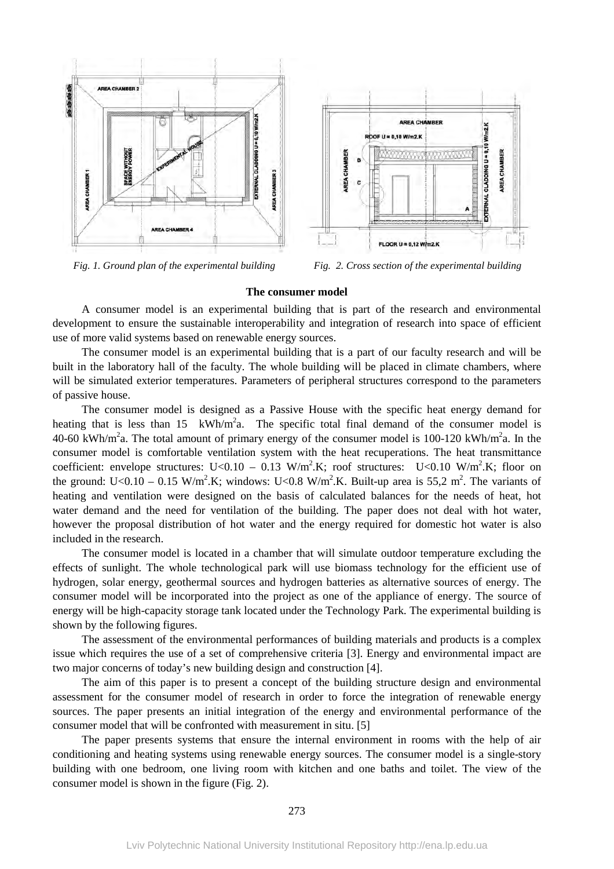

 *Fig. 1. Ground plan of the experimental building Fig. 2. Cross section of the experimental building* 

FLOOR U = 0,12 W/m2.K

AREA CHAMBER

 $U = 0.10$  W/m2.K

**JREA CHAMBER** 

 $V/m2$ <sub>K</sub>

EXTERNAL CLADDING U = 0,10

**RESERVE DESCRIPTION** 

**AREA CHAMBER** 

#### **The consumer model**

A consumer model is an experimental building that is part of the research and environmental development to ensure the sustainable interoperability and integration of research into space of efficient use of more valid systems based on renewable energy sources.

The consumer model is an experimental building that is a part of our faculty research and will be built in the laboratory hall of the faculty. The whole building will be placed in climate chambers, where will be simulated exterior temperatures. Parameters of peripheral structures correspond to the parameters of passive house.

The consumer model is designed as a Passive House with the specific heat energy demand for heating that is less than 15  $\text{kWh/m}^2$ a. The specific total final demand of the consumer model is 40-60 kWh/m<sup>2</sup>a. The total amount of primary energy of the consumer model is 100-120 kWh/m<sup>2</sup>a. In the consumer model is comfortable ventilation system with the heat recuperations. The heat transmittance coefficient: envelope structures: U<0.10 – 0.13 W/m<sup>2</sup>.K; roof structures: U<0.10 W/m<sup>2</sup>.K; floor on the ground: U<0.10 – 0.15 W/m<sup>2</sup>.K; windows: U<0.8 W/m<sup>2</sup>.K. Built-up area is 55,2 m<sup>2</sup>. The variants of heating and ventilation were designed on the basis of calculated balances for the needs of heat, hot water demand and the need for ventilation of the building. The paper does not deal with hot water, however the proposal distribution of hot water and the energy required for domestic hot water is also included in the research.

The consumer model is located in a chamber that will simulate outdoor temperature excluding the effects of sunlight. The whole technological park will use biomass technology for the efficient use of hydrogen, solar energy, geothermal sources and hydrogen batteries as alternative sources of energy. The consumer model will be incorporated into the project as one of the appliance of energy. The source of energy will be high-capacity storage tank located under the Technology Park. The experimental building is shown by the following figures.

The assessment of the environmental performances of building materials and products is a complex issue which requires the use of a set of comprehensive criteria [3]. Energy and environmental impact are two major concerns of today's new building design and construction [4].

The aim of this paper is to present a concept of the building structure design and environmental assessment for the consumer model of research in order to force the integration of renewable energy sources. The paper presents an initial integration of the energy and environmental performance of the consumer model that will be confronted with measurement in situ. [5]

The paper presents systems that ensure the internal environment in rooms with the help of air conditioning and heating systems using renewable energy sources. The consumer model is a single-story building with one bedroom, one living room with kitchen and one baths and toilet. The view of the consumer model is shown in the figure (Fig. 2).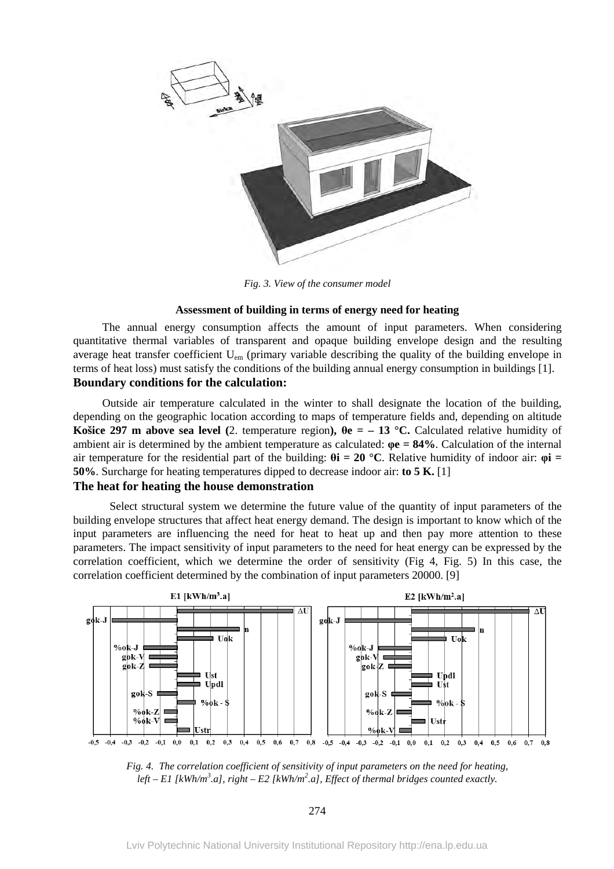

*Fig. 3. View of the consumer model* 

# **Assessment of building in terms of energy need for heating**

The annual energy consumption affects the amount of input parameters. When considering quantitative thermal variables of transparent and opaque building envelope design and the resulting average heat transfer coefficient U<sub>em</sub> (primary variable describing the quality of the building envelope in terms of heat loss) must satisfy the conditions of the building annual energy consumption in buildings [1]. **Boundary conditions for the calculation:** 

Outside air temperature calculated in the winter to shall designate the location of the building, depending on the geographic location according to maps of temperature fields and, depending on altitude **Košice 297 m above sea level** (2. temperature region),  $\theta$ **e** = – 13 °C. Calculated relative humidity of ambient air is determined by the ambient temperature as calculated: **φe = 84%**. Calculation of the internal air temperature for the residential part of the building:  $\theta$ **i** = 20 °C. Relative humidity of indoor air:  $\phi$ **i** = **50%**. Surcharge for heating temperatures dipped to decrease indoor air: **to 5 K.** [1]

# **The heat for heating the house demonstration**

Select structural system we determine the future value of the quantity of input parameters of the building envelope structures that affect heat energy demand. The design is important to know which of the input parameters are influencing the need for heat to heat up and then pay more attention to these parameters. The impact sensitivity of input parameters to the need for heat energy can be expressed by the correlation coefficient, which we determine the order of sensitivity (Fig 4, Fig. 5) In this case, the correlation coefficient determined by the combination of input parameters 20000. [9]



*Fig. 4. The correlation coefficient of sensitivity of input parameters on the need for heating,*  left – E1 [kWh/m<sup>3</sup>.a], right – E2 [kWh/m<sup>2</sup>.a], Effect of thermal bridges counted exactly.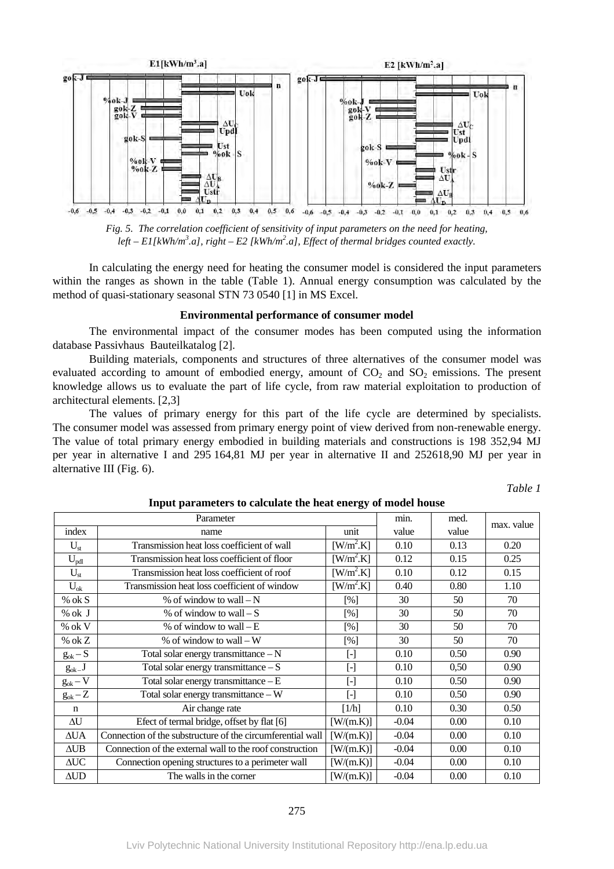

*Fig. 5. The correlation coefficient of sensitivity of input parameters on the need for heating,*  left – E1[kWh/m<sup>3</sup>.a], right – E2 [kWh/m<sup>2</sup>.a], Effect of thermal bridges counted exactly.

In calculating the energy need for heating the consumer model is considered the input parameters within the ranges as shown in the table (Table 1). Annual energy consumption was calculated by the method of quasi-stationary seasonal STN 73 0540 [1] in MS Excel.

## **Environmental performance of consumer model**

The environmental impact of the consumer modes has been computed using the information database Passivhaus Bauteilkatalog [2].

Building materials, components and structures of three alternatives of the consumer model was evaluated according to amount of embodied energy, amount of  $CO<sub>2</sub>$  and  $SO<sub>2</sub>$  emissions. The present knowledge allows us to evaluate the part of life cycle, from raw material exploitation to production of architectural elements. [2,3]

The values of primary energy for this part of the life cycle are determined by specialists. The consumer model was assessed from primary energy point of view derived from non-renewable energy. The value of total primary energy embodied in building materials and constructions is 198 352,94 MJ per year in alternative I and 295 164,81 MJ per year in alternative II and 252618,90 MJ per year in alternative III (Fig. 6).

| anı |
|-----|
|-----|

| Tribut parameters to carculate the neat energy of model house |                                                            |                                                                                                                                                                                                                                                                                                                                                                                                                                                                                                                                                                                                    |         |       |            |  |
|---------------------------------------------------------------|------------------------------------------------------------|----------------------------------------------------------------------------------------------------------------------------------------------------------------------------------------------------------------------------------------------------------------------------------------------------------------------------------------------------------------------------------------------------------------------------------------------------------------------------------------------------------------------------------------------------------------------------------------------------|---------|-------|------------|--|
| Parameter                                                     |                                                            |                                                                                                                                                                                                                                                                                                                                                                                                                                                                                                                                                                                                    | min.    | med.  | max. value |  |
| index                                                         | name                                                       | unit                                                                                                                                                                                                                                                                                                                                                                                                                                                                                                                                                                                               | value   | value |            |  |
| $U_{st}$                                                      | Transmission heat loss coefficient of wall                 | $[$ W/m <sup>2</sup> .K]                                                                                                                                                                                                                                                                                                                                                                                                                                                                                                                                                                           | 0.10    | 0.13  | 0.20       |  |
| $U_{pdl}$                                                     | Transmission heat loss coefficient of floor                | $[W/m^2.K]$                                                                                                                                                                                                                                                                                                                                                                                                                                                                                                                                                                                        | 0.12    | 0.15  | 0.25       |  |
| $U_{st}$                                                      | Transmission heat loss coefficient of roof                 | [W/m <sup>2</sup> .K]                                                                                                                                                                                                                                                                                                                                                                                                                                                                                                                                                                              | 0.10    | 0.12  | 0.15       |  |
| $U_{ok}$                                                      | Transmission heat loss coefficient of window               | [ W/m <sup>2</sup> K ]                                                                                                                                                                                                                                                                                                                                                                                                                                                                                                                                                                             | 0.40    | 0.80  | 1.10       |  |
| $%$ ok S                                                      | % of window to wall $-N$                                   | [%]                                                                                                                                                                                                                                                                                                                                                                                                                                                                                                                                                                                                | 30      | 50    | 70         |  |
| % ok J                                                        | % of window to wall $-S$                                   | [%]                                                                                                                                                                                                                                                                                                                                                                                                                                                                                                                                                                                                | 30      | 50    | 70         |  |
| $%$ ok V                                                      | % of window to wall $-E$                                   | [%]                                                                                                                                                                                                                                                                                                                                                                                                                                                                                                                                                                                                | 30      | 50    | 70         |  |
| % ok $Z$                                                      | % of window to wall $-W$                                   | [%]                                                                                                                                                                                                                                                                                                                                                                                                                                                                                                                                                                                                | 30      | 50    | 70         |  |
| $g_{\rm ok}-S$                                                | Total solar energy transmittance $- N$                     | $[\cdot]$                                                                                                                                                                                                                                                                                                                                                                                                                                                                                                                                                                                          | 0.10    | 0.50  | 0.90       |  |
| $g_{ok}\_J$                                                   | Total solar energy transmittance $-S$                      | $[$                                                                                                                                                                                                                                                                                                                                                                                                                                                                                                                                                                                                | 0.10    | 0,50  | 0.90       |  |
| $g_{ok} - V$                                                  | Total solar energy transmittance $-E$                      | $[\cdot]$                                                                                                                                                                                                                                                                                                                                                                                                                                                                                                                                                                                          | 0.10    | 0.50  | 0.90       |  |
| $g_{ok} - Z$                                                  | Total solar energy transmittance - W                       | $\left[ -\right] % \begin{minipage}[b]{.45\linewidth} \centering \includegraphics[width=\linewidth]{images/Example_14]{Example_144m100.pdf} \caption{The image shows the number of times of the number of times.} \label{fig:Example_144m10_144} \end{minipage} \ \vspace{-.5cm} \begin{minipage}[b]{.45\linewidth} \centering \includegraphics[width=\linewidth]{images/Example_144m10_14} \caption{The 3D (blue) model is used to be used for the number of times.} \label{fig:Example_144m10_144} \end{minipage} \vspace{-.5cm} \begin{minipage}[b]{.45\linewidth} \centering \includegraphics$ | 0.10    | 0.50  | 0.90       |  |
| $\mathbf n$                                                   | Air change rate                                            | [1/h]                                                                                                                                                                                                                                                                                                                                                                                                                                                                                                                                                                                              | 0.10    | 0.30  | 0.50       |  |
| $\Delta U$                                                    | Efect of termal bridge, offset by flat [6]                 | [W/(m.K)]                                                                                                                                                                                                                                                                                                                                                                                                                                                                                                                                                                                          | $-0.04$ | 0.00  | 0.10       |  |
| $\Delta \text{UA}$                                            | Connection of the substructure of the circumferential wall | [ W/(m.K) ]                                                                                                                                                                                                                                                                                                                                                                                                                                                                                                                                                                                        | $-0.04$ | 0.00  | 0.10       |  |
| $\Delta \text{UB}$                                            | Connection of the external wall to the roof construction   | [W/(m.K)]                                                                                                                                                                                                                                                                                                                                                                                                                                                                                                                                                                                          | $-0.04$ | 0.00  | 0.10       |  |
| $\Delta \text{UC}$                                            | Connection opening structures to a perimeter wall          | [W/(m.K)]                                                                                                                                                                                                                                                                                                                                                                                                                                                                                                                                                                                          | $-0.04$ | 0.00  | 0.10       |  |
| $\triangle$ UD                                                | The walls in the corner                                    | [W/(m.K)]                                                                                                                                                                                                                                                                                                                                                                                                                                                                                                                                                                                          | $-0.04$ | 0.00  | 0.10       |  |

## **Input parameters to calculate the heat energy of model house**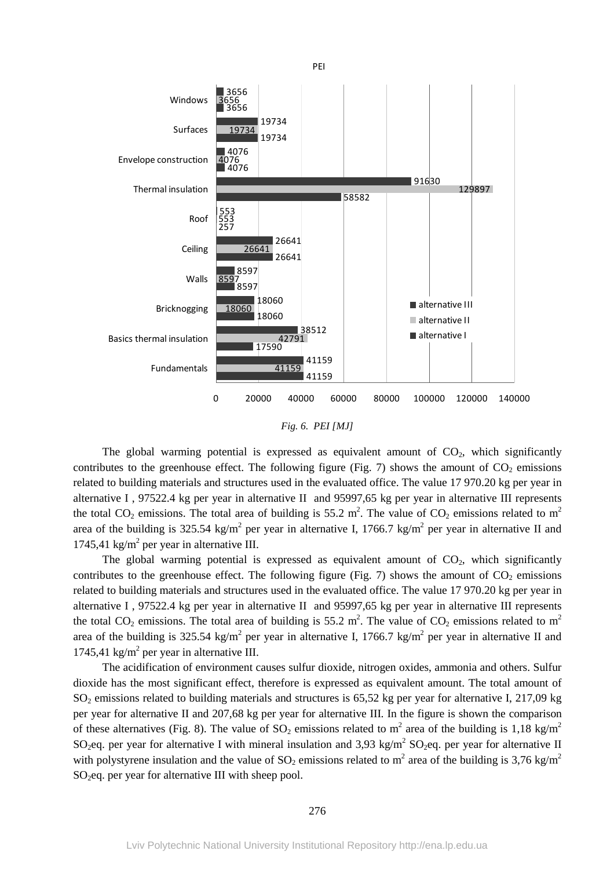

*Fig. 6. PEI [MJ]* 

The global warming potential is expressed as equivalent amount of  $CO<sub>2</sub>$ , which significantly contributes to the greenhouse effect. The following figure (Fig. 7) shows the amount of  $CO<sub>2</sub>$  emissions related to building materials and structures used in the evaluated office. The value 17 970.20 kg per year in alternative I , 97522.4 kg per year in alternative II and 95997,65 kg per year in alternative III represents the total CO<sub>2</sub> emissions. The total area of building is 55.2 m<sup>2</sup>. The value of CO<sub>2</sub> emissions related to m<sup>2</sup> area of the building is 325.54 kg/m<sup>2</sup> per year in alternative I, 1766.7 kg/m<sup>2</sup> per year in alternative II and 1745,41 kg/m<sup>2</sup> per year in alternative III.

The global warming potential is expressed as equivalent amount of  $CO<sub>2</sub>$ , which significantly contributes to the greenhouse effect. The following figure (Fig. 7) shows the amount of  $CO<sub>2</sub>$  emissions related to building materials and structures used in the evaluated office. The value 17 970.20 kg per year in alternative I , 97522.4 kg per year in alternative II and 95997,65 kg per year in alternative III represents the total CO<sub>2</sub> emissions. The total area of building is 55.2 m<sup>2</sup>. The value of CO<sub>2</sub> emissions related to m<sup>2</sup> area of the building is 325.54 kg/m<sup>2</sup> per year in alternative I, 1766.7 kg/m<sup>2</sup> per year in alternative II and 1745,41 kg/m<sup>2</sup> per year in alternative III.

The acidification of environment causes sulfur dioxide, nitrogen oxides, ammonia and others. Sulfur dioxide has the most significant effect, therefore is expressed as equivalent amount. The total amount of  $SO<sub>2</sub>$  emissions related to building materials and structures is 65,52 kg per year for alternative I, 217,09 kg per year for alternative II and 207,68 kg per year for alternative III. In the figure is shown the comparison of these alternatives (Fig. 8). The value of  $SO_2$  emissions related to m<sup>2</sup> area of the building is 1,18 kg/m<sup>2</sup> SO<sub>2</sub>eq. per year for alternative I with mineral insulation and 3,93 kg/m<sup>2</sup> SO<sub>2</sub>eq. per year for alternative II with polystyrene insulation and the value of SO<sub>2</sub> emissions related to m<sup>2</sup> area of the building is 3,76 kg/m<sup>2</sup>  $SO<sub>2</sub>$ eq. per year for alternative III with sheep pool.

# 276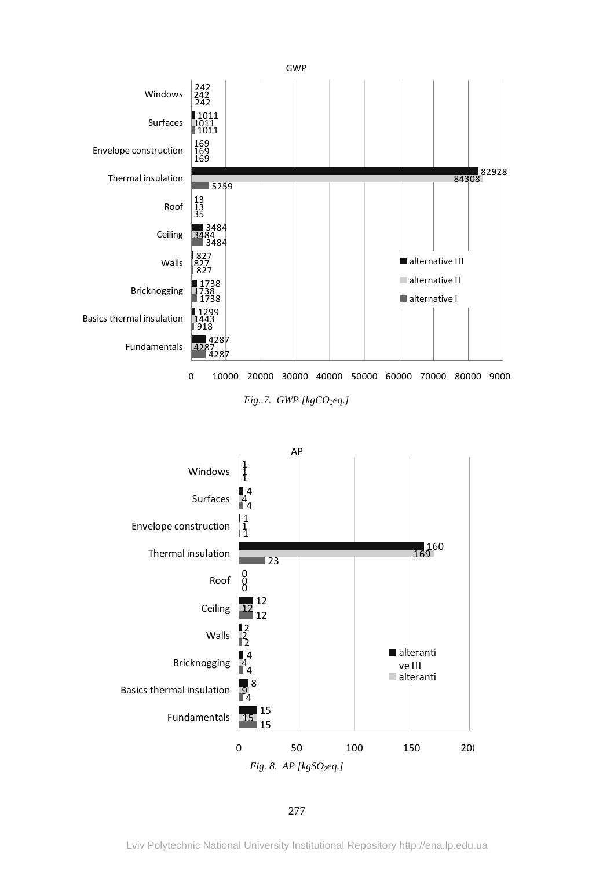